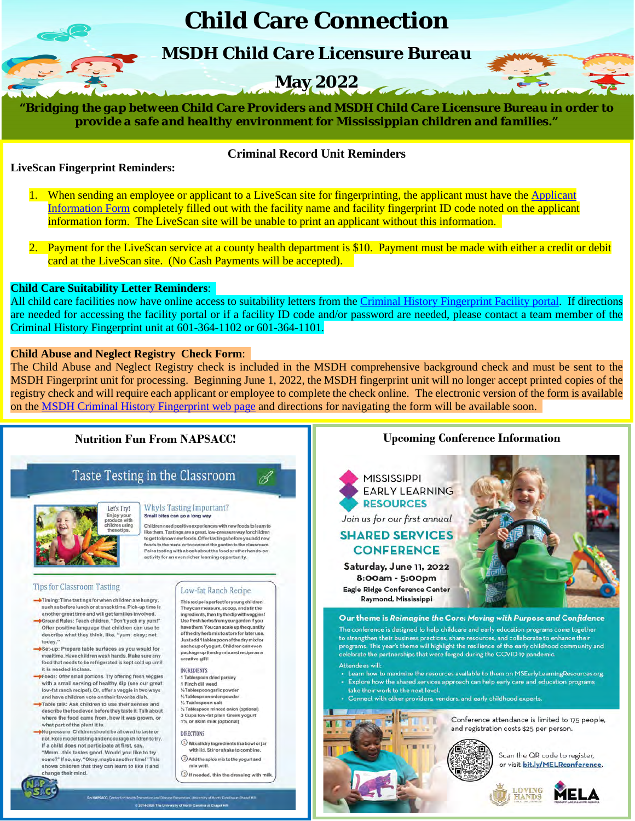# **Child Care Connection**

*MSDH Child Care Licensure Bureau*

# **May 2022**

*"Bridging the gap between Child Care Providers and MSDH Child Care Licensure Bureau in order to provide a safe and healthy environment for Mississippian children and families."*

## **LiveScan Fingerprint Reminders:**

Mississippi Early Childh

## **Criminal Record Unit Reminders**

- 1. When sending an employee or applicant to a LiveScan site for fingerprinting, the applicant must have the [Applicant](https://gcc02.safelinks.protection.outlook.com/?url=https%3A%2F%2Fwww.msdh.ms.gov%2Fmsdhsite%2F_static%2Fresources%2F8463.pdf&data=04%7C01%7CJosenda.Dockery%40msdh.ms.gov%7C2c0c495841394c4c898108da14075523%7C559042dc8bf04d869fc0fbf4c7503c79%7C0%7C0%7C637844318980972875%7CUnknown%7CTWFpbGZsb3d8eyJWIjoiMC4wLjAwMDAiLCJQIjoiV2luMzIiLCJBTiI6Ik1haWwiLCJXVCI6Mn0%3D%7C3000&sdata=Y7sPDYg28lIEukDe1AbrqKIoRsxAvzKPXvEp9M1AfTY%3D&reserved=0)  [Information Form](https://gcc02.safelinks.protection.outlook.com/?url=https%3A%2F%2Fwww.msdh.ms.gov%2Fmsdhsite%2F_static%2Fresources%2F8463.pdf&data=04%7C01%7CJosenda.Dockery%40msdh.ms.gov%7C2c0c495841394c4c898108da14075523%7C559042dc8bf04d869fc0fbf4c7503c79%7C0%7C0%7C637844318980972875%7CUnknown%7CTWFpbGZsb3d8eyJWIjoiMC4wLjAwMDAiLCJQIjoiV2luMzIiLCJBTiI6Ik1haWwiLCJXVCI6Mn0%3D%7C3000&sdata=Y7sPDYg28lIEukDe1AbrqKIoRsxAvzKPXvEp9M1AfTY%3D&reserved=0) completely filled out with the facility name and facility fingerprint ID code noted on the applicant information form. The LiveScan site will be unable to print an applicant without this information.
- 2. Payment for the LiveScan service at a county health department is \$10. Payment must be made with either a credit or debit card at the LiveScan site. (No Cash Payments will be accepted).

### **Child Care Suitability Letter Reminders**:

All child care facilities now have online access to suitability letters from the Criminal [History Fingerprint Facility portal.](https://gcc02.safelinks.protection.outlook.com/?url=https%3A%2F%2Fapps.msdh.ms.gov%2FFTS%2FLogin%2FDefault.aspx%3FReturnUrl%3D%252ffts%252f&data=04%7C01%7CJosenda.Dockery%40msdh.ms.gov%7C2c0c495841394c4c898108da14075523%7C559042dc8bf04d869fc0fbf4c7503c79%7C0%7C0%7C637844318981129084%7CUnknown%7CTWFpbGZsb3d8eyJWIjoiMC4wLjAwMDAiLCJQIjoiV2luMzIiLCJBTiI6Ik1haWwiLCJXVCI6Mn0%3D%7C3000&sdata=RNJ3%2Bm7hmcTnw5blHlWJL7%2FTf4m3E%2BTqRQht%2FqcSUPk%3D&reserved=0) If directions are needed for accessing the facility portal or if a facility ID code and/or password are needed, please contact a team member of the Criminal History Fingerprint unit at 601-364-1102 or 601-364-1101.

### **Child Abuse and Neglect Registry Check Form**:

The Child Abuse and Neglect Registry check is included in the MSDH comprehensive background check and must be sent to the MSDH Fingerprint unit for processing. Beginning June 1, 2022, the MSDH fingerprint unit will no longer accept printed copies of the registry check and will require each applicant or employee to complete the check online. The electronic version of the form is available on the MSDH Criminal History [Fingerprint](https://gcc02.safelinks.protection.outlook.com/?url=https%3A%2F%2Fwww.msdh.ms.gov%2Fmsdhsite%2F_static%2F30%2C0%2C206.html&data=05%7C01%7CJosenda.Dockery%40msdh.ms.gov%7C3582229374cc4cc3014808da29099687%7C559042dc8bf04d869fc0fbf4c7503c79%7C0%7C0%7C637867418411756396%7CUnknown%7CTWFpbGZsb3d8eyJWIjoiMC4wLjAwMDAiLCJQIjoiV2luMzIiLCJBTiI6Ik1haWwiLCJXVCI6Mn0%3D%7C3000%7C%7C%7C&sdata=3blyvW0ItETlrE2KUswKiJlGLU72M3GhUlRdpC%2F0t%2BM%3D&reserved=0) web page and directions for navigating the form will be available soon.

## **Nutrition Fun From NAPSACC!**

## Taste Testing in the Classroom



#### Whyls Tasting Important? Small bites can go a long way

Children need positive experiences with new foods to learn to like them. Tastings are a great, low-pressure way for children to get to knownew foods. Offer tastings before you add new<br>foods to the menu or to connect the garden to the classroom. Pair atasting with a book about the food or other hands-on activity for an even richer learning opportunity.

#### **Tips for Classroom Tasting**

- -Timing: Time tastings for when children are hungry, such as before lunch or at snack time. Pick-up time is another great time and will get families involved.
- Ground Rules: Teach children, "Don't yuck my yum!" Offer positive language that children can use to describe what they think, like, "yum; okay; not today."
- Set-up: Prepare table surfaces as you would for mealtime. Have children wash hands. Make sure any od that needs to be refrigerated is kept cold up until it is needed inclass.
- Foods: Offer small portions. Try offering fresh veggies with a small serving of healthy dip (see our great low-fat ranch recipe!). Or, offer a veggle in two ways and have children vote on their favorite dish.<br>
Table talk: Ask children to use their senses and
- describe the food even before they taste it. Talk about<br>where the food came from, how it was grown, or<br>what part of the plant it is.
- -No pressure: Children should be allowed to taste or not. Role model tasting and encourage children to try. If a child does not participate at first, say, "Mmm...this tastes good. Would you like to try<br>some?" If no, say, "Okay, maybe another time!" This shows children that they can learn to like it and change their mind.



Low-fat Ranch Recipe This recipe is perfect for young children! They can measure, scoop, and stirthe ingredients, then try the dip with vegales!

Use fresh herbs from your garden if you<br>have them. You can scale up the quantity of the dry herb mix to store for later use. Justadd 1 tablespoon of the dry mix for<br>each cup of yogurt. Children can even package up the dry mix and recipe as a creative gift!

**INGREDIENTS** 1 Tablespoon dried parsley

- 1 Pinch dill weed<br>%Tablespoongarlicpowder 1/2 Tablespoon onlon powder % Tablespoon salt
- Tablespoon minced onion (optional). 3 Cups low-fat plain Greek yogurt 1% or skim milk (optional)
- **DIRECTIONS**

@ 2014-2820 The University of North Caroline at Chapel

- O Mix all dry ingredients in a bowl or jar with lid. Stir or shake to combine.
- $Q$  Add the spice mix to the yogurt and mix well.
- $\textcircled{1}$  if needed, thin the dressing with milk

## **Upcoming Conference Information**